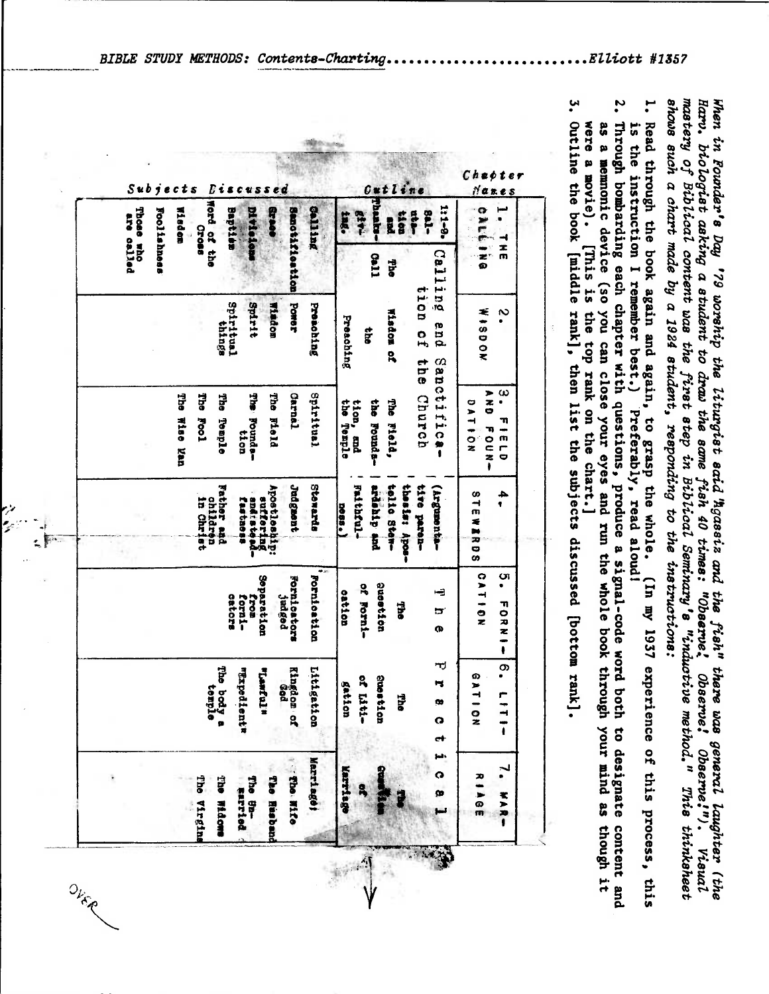shows such a chart made by a 1924 student, responding to the instructions: mastery of Biblical content was the first step in Biblical Seminary's "inductive method." This thinksheet Harv. biologist asking a student to draw the same fish 40 times: "Observe! Observe! Observe!"). Visual When in Founder's Day '79 worship the liturgist said Agassiz and the fish" there was general laughter (the

- 1. Read through the book again and again, to grasp the whole. (In my 1937 experience of this process, this is the instruction I remember best.) Preferably, read aloud!
- Z. Through bombarding each chapter with questions, produce a signal-code word both to designate content and were a movie). as a memonic device (so you can close your eyes and run the whole book through your mind as though it [This is the top rank on the chart.]

بب Outline the book [middle rank], then list the subjects discussed [bottom rank].

| į<br>b<br>j<br>B<br>S u<br>c t<br>$s$ ed<br>e<br>8<br>S<br><b>CUS</b>                                                                           | Cut line                                                                                             | Chapter<br>Nanes                                                      |
|-------------------------------------------------------------------------------------------------------------------------------------------------|------------------------------------------------------------------------------------------------------|-----------------------------------------------------------------------|
| Word of the<br><b>Divisions</b><br><b>Grade</b><br>Those who<br>Wiedom<br>Baptism<br>Foo11shness<br><b>Salling</b><br>are called<br>Croas<br>f. | rhach<br>1:1-0.<br><b>Sal-</b><br>ata<br>tion<br>534-<br>tng.<br>E.                                  | o<br><b>NEG</b><br>x                                                  |
| Senotification                                                                                                                                  | Calling<br>Coll<br>eque                                                                              | $\frac{1}{2}$<br>m                                                    |
| Spiritual<br>Spirit<br><b>Power</b><br>Windom<br>Presohing<br>things                                                                            | tion<br>Wisdom of<br>Preaching<br>pua<br>$\frac{1}{2}$<br>$\frac{1}{2}$<br>$\frac{1}{9}$             | <b>WASDOK</b><br>$\sim$<br>$\bullet$                                  |
| The Field<br><b>Carnel</b><br>Spiritual<br><b>The</b><br>The Wise Man<br>The<br>File Bounder-<br><b>Foo1</b><br>Temple<br>tion                  | Sanctifica-<br>Church<br>the Temple<br>the Founds-<br>The Field,<br>tion, and                        | ω<br>アスロ<br>٠<br>DAT<br>T)<br>$rac{1}{2}$<br>FOUN<br>m<br>┍<br>O<br>ŧ |
| Father and<br>Stewards<br>Judgment<br>Apostleship:<br>andratona-<br>suffering<br>children<br>in Christ<br>fastaoss                              | tolio Sten-<br>thesis: Apos-<br>Future<br>ardenip and<br>tive paren-<br>(Vrgumenta-<br>$-288$        | 318<br>4<br>ę<br>ź<br><b>ARDS</b>                                     |
| $+1$<br>Pornication<br>Separation<br>Fornicators<br>cators<br><b>Jadged</b><br>forn1-<br>fron                                                   | <b>Question</b><br>of Forni-<br>÷<br>cation<br><b>She</b><br>ים<br>œ                                 | CATION<br>ပာ<br>٠<br>アロヌ<br>-<br>ŧ                                    |
| The be<br>se<br>Kingdom of<br>Ged<br>Littigs<br><b><i><u><b>TEXPOO</b></u></i></b><br><b>Almant</b><br>orique<br>mple<br>dientr<br>ation<br>Ē   | ᆏ<br>$7 - 50$<br>Suses <sup>®</sup><br>Ħ<br>gat<br><b>Ene</b><br>œ<br>1ti-<br>ion<br>tion<br>Q<br>ct | တ<br><b>GAT</b><br>٣<br>$\frac{1}{2}$                                 |
| <b>Sibe Mife</b><br>Merriage;<br>The Husband<br>The Sn-<br>Farried<br>The Widows<br>The Virgins                                                 | البا<br>Karriago<br>Q<br>က                                                                           | $\frac{1}{2}$ 85<br>ネンガー                                              |

oja<br>Politik

OVER

BIBLE STUDY METHODS: Contents-Charting.  $...$ Elliott #1357